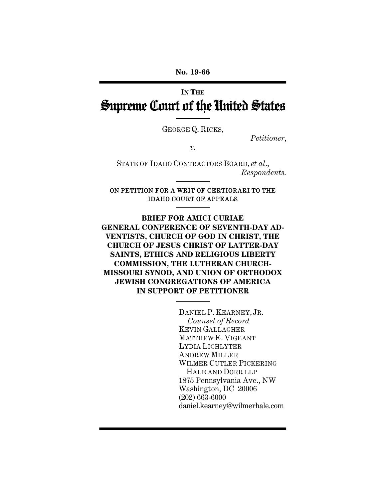# **IN THE** Supreme Court of the United States

GEORGE Q. RICKS,

*Petitioner*,

*v.* 

STATE OF IDAHO CONTRACTORS BOARD, *et al*., *Respondents.* 

#### ON PETITION FOR A WRIT OF CERTIORARI TO THE IDAHO COURT OF APPEALS

**BRIEF FOR AMICI CURIAE GENERAL CONFERENCE OF SEVENTH-DAY AD-VENTISTS, CHURCH OF GOD IN CHRIST, THE CHURCH OF JESUS CHRIST OF LATTER-DAY SAINTS, ETHICS AND RELIGIOUS LIBERTY COMMISSION, THE LUTHERAN CHURCH-MISSOURI SYNOD, AND UNION OF ORTHODOX JEWISH CONGREGATIONS OF AMERICA IN SUPPORT OF PETITIONER**

> DANIEL P. KEARNEY, JR. *Counsel of Record*  KEVIN GALLAGHER MATTHEW E. VIGEANT LYDIA LICHLYTER ANDREW MILLER WILMER CUTLER PICKERING HALE AND DORR LLP 1875 Pennsylvania Ave., NW Washington, DC 20006 (202) 663-6000 daniel.kearney@wilmerhale.com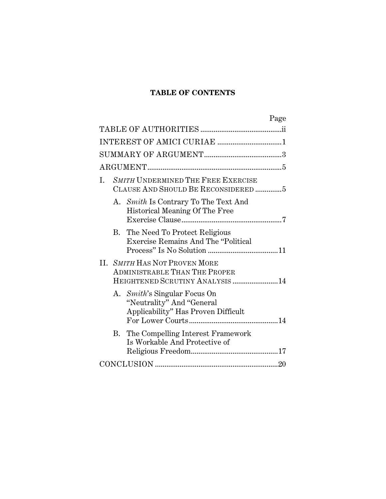## **TABLE OF CONTENTS**

| Page                                                                                                     |
|----------------------------------------------------------------------------------------------------------|
|                                                                                                          |
| INTEREST OF AMICI CURIAE 1                                                                               |
|                                                                                                          |
|                                                                                                          |
| SMITH UNDERMINED THE FREE EXERCISE<br>L.<br>CLAUSE AND SHOULD BE RECONSIDERED 5                          |
| A. Smith Is Contrary To The Text And<br>Historical Meaning Of The Free                                   |
| B. The Need To Protect Religious<br><b>Exercise Remains And The "Political</b>                           |
| II. SMITH HAS NOT PROVEN MORE<br><b>ADMINISTRABLE THAN THE PROPER</b><br>HEIGHTENED SCRUTINY ANALYSIS 14 |
| A. Smith's Singular Focus On<br>"Neutrality" And "General<br>Applicability" Has Proven Difficult         |
| B. The Compelling Interest Framework<br>Is Workable And Protective of                                    |
|                                                                                                          |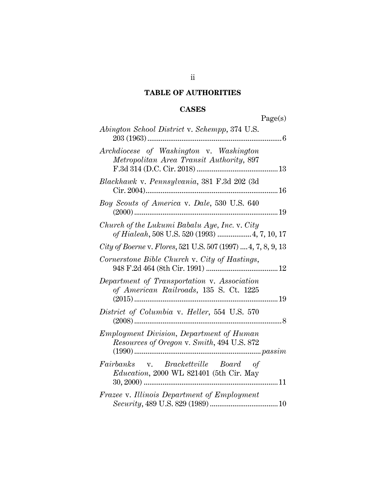## **TABLE OF AUTHORITIES**

## **CASES**

|                                                                                                | Page(s) |
|------------------------------------------------------------------------------------------------|---------|
| Abington School District v. Schempp, 374 U.S.                                                  |         |
| Archdiocese of Washington v. Washington<br>Metropolitan Area Transit Authority, 897            |         |
| Blackhawk v. Pennsylvania, 381 F.3d 202 (3d                                                    |         |
| Boy Scouts of America v. Dale, 530 U.S. 640                                                    | 19      |
| Church of the Lukumi Babalu Aye, Inc. v. City<br>of Hialeah, 508 U.S. 520 (1993)  4, 7, 10, 17 |         |
| City of Boerne v. Flores, 521 U.S. 507 (1997)  4, 7, 8, 9, 13                                  |         |
| Cornerstone Bible Church v. City of Hastings,                                                  |         |
| Department of Transportation v. Association<br>of American Railroads, 135 S. Ct. 1225          |         |
| District of Columbia v. Heller, 554 U.S. 570                                                   | . 8     |
| <i>Employment Division, Department of Human</i><br>Resources of Oregon v. Smith, 494 U.S. 872  |         |
| Fairbanks v. Brackettville Board of<br>Education, 2000 WL 821401 (5th Cir. May                 |         |
| Frazee v. Illinois Department of Employment                                                    |         |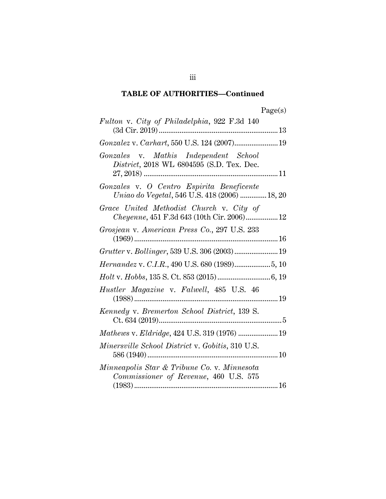| ager<br>s |
|-----------|
|-----------|

| Fulton v. City of Philadelphia, 922 F.3d 140                                               |  |
|--------------------------------------------------------------------------------------------|--|
|                                                                                            |  |
| Gonzales v. Mathis Independent School<br>District, 2018 WL 6804595 (S.D. Tex. Dec.         |  |
| Gonzales v. O Centro Espirita Beneficente<br>Uniao do Vegetal, 546 U.S. 418 (2006)  18, 20 |  |
| Grace United Methodist Church v. City of<br>Cheyenne, 451 F.3d 643 (10th Cir. 2006) 12     |  |
| Grosjean v. American Press Co., 297 U.S. 233                                               |  |
| Grutter v. Bollinger, 539 U.S. 306 (2003) 19                                               |  |
| Hernandez v. C.I.R., 490 U.S. 680 (1989)5, 10                                              |  |
|                                                                                            |  |
| Hustler Magazine v. Falwell, 485 U.S. 46                                                   |  |
| Kennedy v. Bremerton School District, 139 S.                                               |  |
| Mathews v. Eldridge, 424 U.S. 319 (1976)  19                                               |  |
| <i>Minersville School District v. Gobitis, 310 U.S.</i>                                    |  |
| Minneapolis Star & Tribune Co. v. Minnesota<br>Commissioner of Revenue, 460 U.S. 575       |  |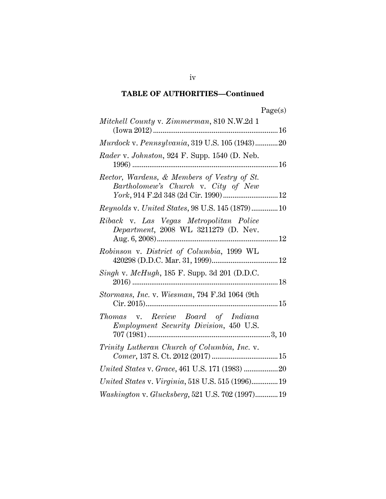| 90P<br>s |
|----------|
|----------|

| Mitchell County v. Zimmerman, 810 N.W.2d 1                                                                                 |  |
|----------------------------------------------------------------------------------------------------------------------------|--|
| Murdock v. Pennsylvania, 319 U.S. 105 (1943)20                                                                             |  |
| Rader v. Johnston, 924 F. Supp. 1540 (D. Neb.                                                                              |  |
| Rector, Wardens, & Members of Vestry of St.<br>Bartholomew's Church v. City of New<br>York, 914 F.2d 348 (2d Cir. 1990) 12 |  |
| Reynolds v. United States, 98 U.S. 145 (1879) 10                                                                           |  |
| Riback v. Las Vegas Metropolitan Police<br>Department, 2008 WL 3211279 (D. Nev.                                            |  |
| Robinson v. District of Columbia, 1999 WL                                                                                  |  |
| Singh v. McHugh, 185 F. Supp. 3d 201 (D.D.C.                                                                               |  |
| Stormans, Inc. v. Wiesman, 794 F.3d 1064 (9th                                                                              |  |
| Thomas v. Review Board of Indiana<br>Employment Security Division, 450 U.S.                                                |  |
| Trinity Lutheran Church of Columbia, Inc. v.<br>$Comer, 137\; {\rm S.\;Ct.\;2012}\; (2017) \;  \nonumber$                  |  |
|                                                                                                                            |  |
| United States v. Virginia, 518 U.S. 515 (1996) 19                                                                          |  |
| Washington v. Glucksberg, 521 U.S. 702 (1997) 19                                                                           |  |

iv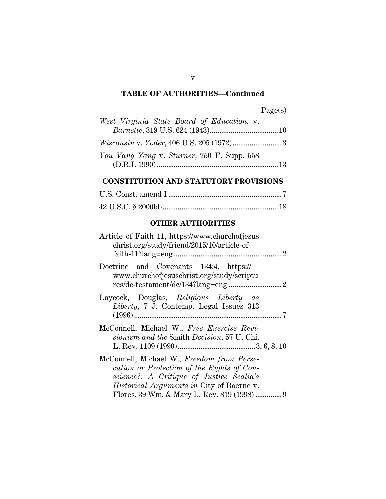| West Virginia State Board of Education. v.        |  |
|---------------------------------------------------|--|
|                                                   |  |
| <i>Wisconsin v. Yoder, 406 U.S. 205 (1972)</i> .3 |  |
| You Vang Yang v. Sturner, 750 F. Supp. 558        |  |
|                                                   |  |

## **CONSTITUTION AND STATUTORY PROVISIONS**

## **OTHER AUTHORITIES**

| Article of Faith 11, https://www.churchofjesus<br>christ.org/study/friend/2015/10/article-of-                                                                                            |
|------------------------------------------------------------------------------------------------------------------------------------------------------------------------------------------|
| Doctrine and Covenants 134:4, https://<br>www.churchofjesuschrist.org/study/scriptu                                                                                                      |
| Laycock, Douglas, Religious Liberty as<br><i>Liberty</i> , 7 J. Contemp. Legal Issues 313                                                                                                |
| McConnell, Michael W., Free Exercise Revi-<br>sionism and the Smith Decision, 57 U. Chi.                                                                                                 |
| McConnell, Michael W., Freedom from Perse-<br>cution or Protection of the Rights of Con-<br>science?: A Critique of Justice Scalia's<br><i>Historical Arguments in City of Boerne v.</i> |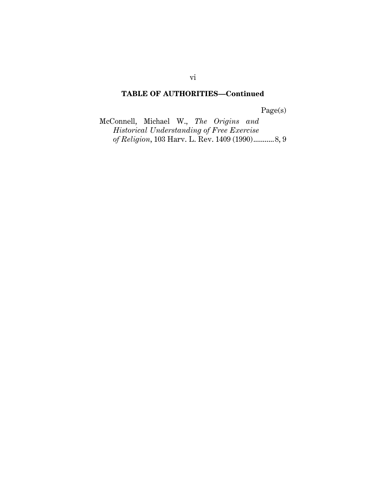Page(s)

McConnell, Michael W., *The Origins and Historical Understanding of Free Exercise of Religion*, 103 Harv. L. Rev. 1409 (1990) ........... 8, 9

vi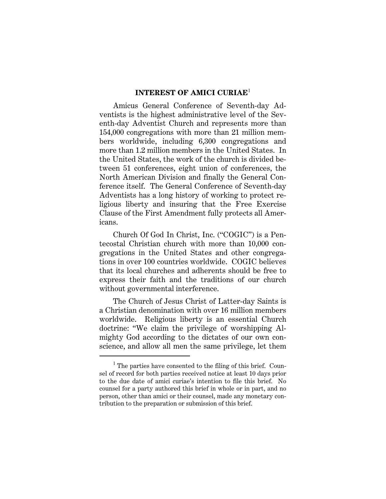#### **INTEREST OF AMICI CURIAE**<sup>1</sup>

Amicus General Conference of Seventh-day Adventists is the highest administrative level of the Seventh-day Adventist Church and represents more than 154,000 congregations with more than 21 million members worldwide, including 6,300 congregations and more than 1.2 million members in the United States. In the United States, the work of the church is divided between 51 conferences, eight union of conferences, the North American Division and finally the General Conference itself. The General Conference of Seventh-day Adventists has a long history of working to protect religious liberty and insuring that the Free Exercise Clause of the First Amendment fully protects all Americans.

Church Of God In Christ, Inc. ("COGIC") is a Pentecostal Christian church with more than 10,000 congregations in the United States and other congregations in over 100 countries worldwide. COGIC believes that its local churches and adherents should be free to express their faith and the traditions of our church without governmental interference.

The Church of Jesus Christ of Latter-day Saints is a Christian denomination with over 16 million members worldwide. Religious liberty is an essential Church doctrine: "We claim the privilege of worshipping Almighty God according to the dictates of our own conscience, and allow all men the same privilege, let them

I

<sup>&</sup>lt;sup>1</sup> The parties have consented to the filing of this brief. Counsel of record for both parties received notice at least 10 days prior to the due date of amici curiae's intention to file this brief. No counsel for a party authored this brief in whole or in part, and no person, other than amici or their counsel, made any monetary contribution to the preparation or submission of this brief.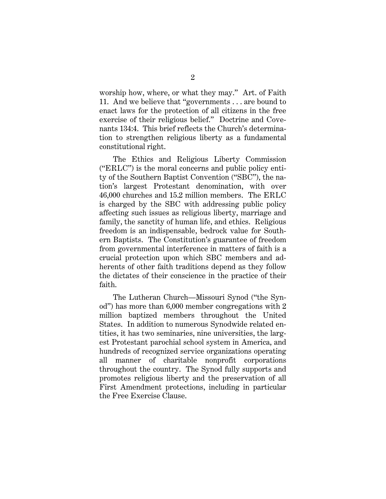worship how, where, or what they may." Art. of Faith 11. And we believe that "governments . . . are bound to enact laws for the protection of all citizens in the free exercise of their religious belief." Doctrine and Covenants 134:4. This brief reflects the Church's determination to strengthen religious liberty as a fundamental constitutional right.

The Ethics and Religious Liberty Commission ("ERLC") is the moral concerns and public policy entity of the Southern Baptist Convention ("SBC"), the nation's largest Protestant denomination, with over 46,000 churches and 15.2 million members. The ERLC is charged by the SBC with addressing public policy affecting such issues as religious liberty, marriage and family, the sanctity of human life, and ethics. Religious freedom is an indispensable, bedrock value for Southern Baptists. The Constitution's guarantee of freedom from governmental interference in matters of faith is a crucial protection upon which SBC members and adherents of other faith traditions depend as they follow the dictates of their conscience in the practice of their faith.

The Lutheran Church—Missouri Synod ("the Synod") has more than 6,000 member congregations with 2 million baptized members throughout the United States. In addition to numerous Synodwide related entities, it has two seminaries, nine universities, the largest Protestant parochial school system in America, and hundreds of recognized service organizations operating all manner of charitable nonprofit corporations throughout the country. The Synod fully supports and promotes religious liberty and the preservation of all First Amendment protections, including in particular the Free Exercise Clause.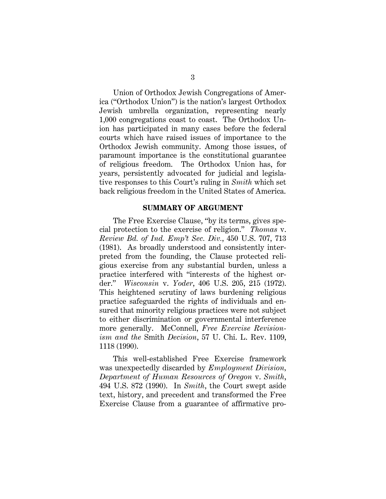Union of Orthodox Jewish Congregations of America ("Orthodox Union") is the nation's largest Orthodox Jewish umbrella organization, representing nearly 1,000 congregations coast to coast. The Orthodox Union has participated in many cases before the federal courts which have raised issues of importance to the Orthodox Jewish community. Among those issues, of paramount importance is the constitutional guarantee of religious freedom. The Orthodox Union has, for years, persistently advocated for judicial and legislative responses to this Court's ruling in *Smith* which set back religious freedom in the United States of America.

#### **SUMMARY OF ARGUMENT**

The Free Exercise Clause, "by its terms, gives special protection to the exercise of religion." *Thomas* v. *Review Bd. of Ind. Emp't Sec. Div.*, 450 U.S. 707, 713 (1981). As broadly understood and consistently interpreted from the founding, the Clause protected religious exercise from any substantial burden, unless a practice interfered with "interests of the highest order." *Wisconsin* v. *Yoder*, 406 U.S. 205, 215 (1972). This heightened scrutiny of laws burdening religious practice safeguarded the rights of individuals and ensured that minority religious practices were not subject to either discrimination or governmental interference more generally. McConnell, *Free Exercise Revisionism and the* Smith *Decision*, 57 U. Chi. L. Rev. 1109, 1118 (1990).

This well-established Free Exercise framework was unexpectedly discarded by *Employment Division, Department of Human Resources of Oregon* v. *Smith*, 494 U.S. 872 (1990). In *Smith*, the Court swept aside text, history, and precedent and transformed the Free Exercise Clause from a guarantee of affirmative pro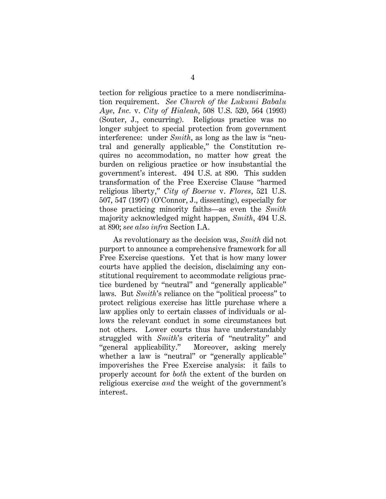tection for religious practice to a mere nondiscrimination requirement. *See Church of the Lukumi Babalu Aye, Inc.* v. *City of Hialeah*, 508 U.S. 520, 564 (1993) (Souter, J., concurring). Religious practice was no longer subject to special protection from government interference: under *Smith*, as long as the law is "neutral and generally applicable," the Constitution requires no accommodation, no matter how great the burden on religious practice or how insubstantial the government's interest. 494 U.S. at 890. This sudden transformation of the Free Exercise Clause "harmed religious liberty," *City of Boerne* v. *Flores*, 521 U.S. 507, 547 (1997) (O'Connor, J., dissenting), especially for those practicing minority faiths—as even the *Smith* majority acknowledged might happen, *Smith*, 494 U.S. at 890; *see also infra* Section I.A.

As revolutionary as the decision was, *Smith* did not purport to announce a comprehensive framework for all Free Exercise questions. Yet that is how many lower courts have applied the decision, disclaiming any constitutional requirement to accommodate religious practice burdened by "neutral" and "generally applicable" laws. But *Smith*'s reliance on the "political process" to protect religious exercise has little purchase where a law applies only to certain classes of individuals or allows the relevant conduct in some circumstances but not others. Lower courts thus have understandably struggled with *Smith*'s criteria of "neutrality" and "general applicability." Moreover, asking merely whether a law is "neutral" or "generally applicable" impoverishes the Free Exercise analysis: it fails to properly account for *both* the extent of the burden on religious exercise *and* the weight of the government's interest.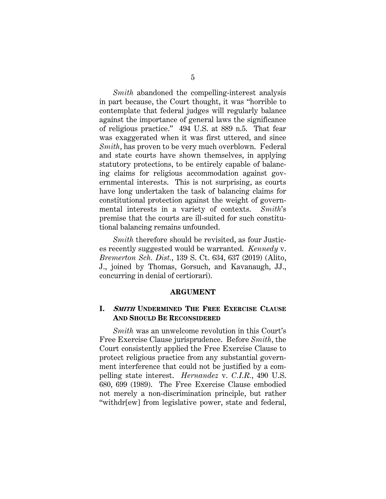*Smith* abandoned the compelling-interest analysis in part because, the Court thought, it was "horrible to contemplate that federal judges will regularly balance against the importance of general laws the significance of religious practice." 494 U.S. at 889 n.5. That fear was exaggerated when it was first uttered, and since *Smith*, has proven to be very much overblown. Federal and state courts have shown themselves, in applying statutory protections, to be entirely capable of balancing claims for religious accommodation against governmental interests. This is not surprising, as courts have long undertaken the task of balancing claims for constitutional protection against the weight of governmental interests in a variety of contexts. *Smith*'s premise that the courts are ill-suited for such constitutional balancing remains unfounded.

*Smith* therefore should be revisited, as four Justices recently suggested would be warranted. *Kennedy* v. *Bremerton Sch. Dist.*, 139 S. Ct. 634, 637 (2019) (Alito, J., joined by Thomas, Gorsuch, and Kavanaugh, JJ., concurring in denial of certiorari).

#### **ARGUMENT**

#### **I. SMITH UNDERMINED THE FREE EXERCISE CLAUSE AND SHOULD BE RECONSIDERED**

*Smith* was an unwelcome revolution in this Court's Free Exercise Clause jurisprudence. Before *Smith*, the Court consistently applied the Free Exercise Clause to protect religious practice from any substantial government interference that could not be justified by a compelling state interest. *Hernandez* v. *C.I.R.*, 490 U.S. 680, 699 (1989). The Free Exercise Clause embodied not merely a non-discrimination principle, but rather "withdr[ew] from legislative power, state and federal,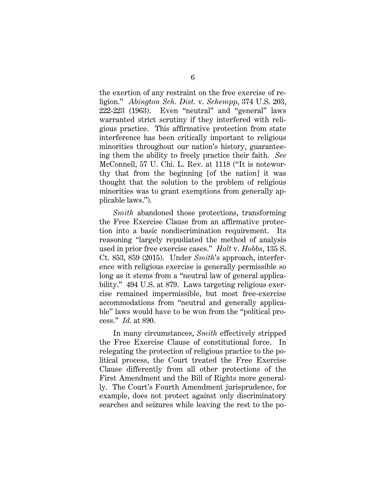the exertion of any restraint on the free exercise of religion." *Abington Sch. Dist.* v. *Schempp*, 374 U.S. 203, 222-223 (1963). Even "neutral" and "general" laws warranted strict scrutiny if they interfered with religious practice. This affirmative protection from state interference has been critically important to religious minorities throughout our nation's history, guaranteeing them the ability to freely practice their faith. *See*  McConnell, 57 U. Chi. L. Rev. at 1118 ("It is noteworthy that from the beginning [of the nation] it was thought that the solution to the problem of religious minorities was to grant exemptions from generally applicable laws.").

*Smith* abandoned those protections, transforming the Free Exercise Clause from an affirmative protection into a basic nondiscrimination requirement. Its reasoning "largely repudiated the method of analysis used in prior free exercise cases." *Holt* v. *Hobbs*, 135 S. Ct. 853, 859 (2015). Under *Smith*'s approach, interference with religious exercise is generally permissible so long as it stems from a "neutral law of general applicability." 494 U.S. at 879. Laws targeting religious exercise remained impermissible, but most free-exercise accommodations from "neutral and generally applicable" laws would have to be won from the "political process." *Id.* at 890.

In many circumstances, *Smith* effectively stripped the Free Exercise Clause of constitutional force. In relegating the protection of religious practice to the political process, the Court treated the Free Exercise Clause differently from all other protections of the First Amendment and the Bill of Rights more generally. The Court's Fourth Amendment jurisprudence, for example, does not protect against only discriminatory searches and seizures while leaving the rest to the po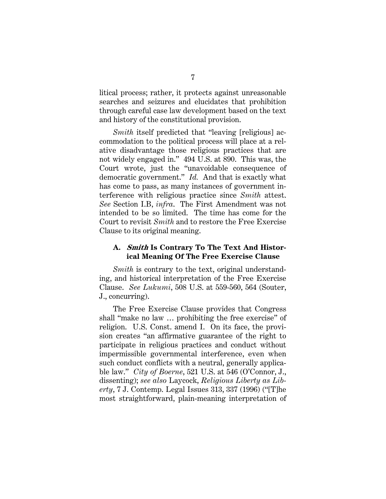litical process; rather, it protects against unreasonable searches and seizures and elucidates that prohibition through careful case law development based on the text and history of the constitutional provision.

*Smith* itself predicted that "leaving [religious] accommodation to the political process will place at a relative disadvantage those religious practices that are not widely engaged in." 494 U.S. at 890. This was, the Court wrote, just the "unavoidable consequence of democratic government." *Id.* And that is exactly what has come to pass, as many instances of government interference with religious practice since *Smith* attest. *See* Section I.B, *infra*. The First Amendment was not intended to be so limited. The time has come for the Court to revisit *Smith* and to restore the Free Exercise Clause to its original meaning.

#### **A. Smith Is Contrary To The Text And Historical Meaning Of The Free Exercise Clause**

*Smith* is contrary to the text, original understanding, and historical interpretation of the Free Exercise Clause. *See Lukumi*, 508 U.S. at 559-560, 564 (Souter, J., concurring).

The Free Exercise Clause provides that Congress shall "make no law … prohibiting the free exercise" of religion. U.S. Const. amend I. On its face, the provision creates "an affirmative guarantee of the right to participate in religious practices and conduct without impermissible governmental interference, even when such conduct conflicts with a neutral, generally applicable law." *City of Boerne*, 521 U.S. at 546 (O'Connor, J., dissenting); *see also* Laycock, *Religious Liberty as Liberty*, 7 J. Contemp. Legal Issues 313, 337 (1996) ("[T]he most straightforward, plain-meaning interpretation of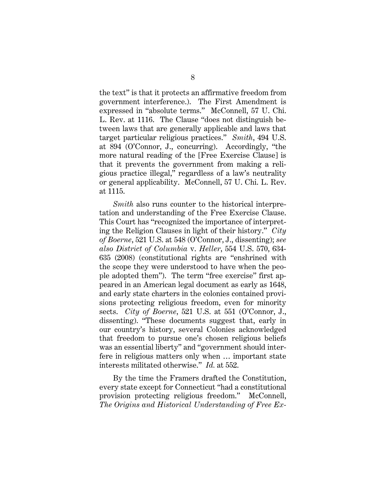the text" is that it protects an affirmative freedom from government interference.). The First Amendment is expressed in "absolute terms." McConnell, 57 U. Chi. L. Rev. at 1116. The Clause "does not distinguish between laws that are generally applicable and laws that target particular religious practices." *Smith*, 494 U.S. at 894 (O'Connor, J., concurring). Accordingly, "the more natural reading of the [Free Exercise Clause] is that it prevents the government from making a religious practice illegal," regardless of a law's neutrality or general applicability. McConnell, 57 U. Chi. L. Rev. at 1115.

*Smith* also runs counter to the historical interpretation and understanding of the Free Exercise Clause. This Court has "recognized the importance of interpreting the Religion Clauses in light of their history." *City of Boerne*, 521 U.S. at 548 (O'Connor, J., dissenting); *see also District of Columbia* v. *Heller*, 554 U.S. 570, 634- 635 (2008) (constitutional rights are "enshrined with the scope they were understood to have when the people adopted them"). The term "free exercise" first appeared in an American legal document as early as 1648, and early state charters in the colonies contained provisions protecting religious freedom, even for minority sects. *City of Boerne*, 521 U.S. at 551 (O'Connor, J., dissenting). "These documents suggest that, early in our country's history, several Colonies acknowledged that freedom to pursue one's chosen religious beliefs was an essential liberty" and "government should interfere in religious matters only when … important state interests militated otherwise." *Id.* at 552.

By the time the Framers drafted the Constitution, every state except for Connecticut "had a constitutional provision protecting religious freedom." McConnell, *The Origins and Historical Understanding of Free Ex-*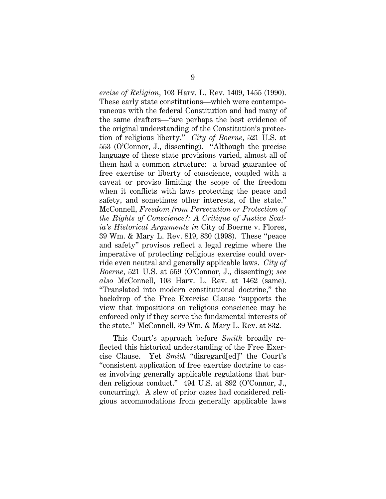*ercise of Religion*, 103 Harv. L. Rev. 1409, 1455 (1990). These early state constitutions—which were contemporaneous with the federal Constitution and had many of the same drafters—"are perhaps the best evidence of the original understanding of the Constitution's protection of religious liberty." *City of Boerne*, 521 U.S. at 553 (O'Connor, J., dissenting). "Although the precise language of these state provisions varied, almost all of them had a common structure: a broad guarantee of free exercise or liberty of conscience, coupled with a caveat or proviso limiting the scope of the freedom when it conflicts with laws protecting the peace and safety, and sometimes other interests, of the state." McConnell, *Freedom from Persecution or Protection of the Rights of Conscience?: A Critique of Justice Scalia's Historical Arguments in* City of Boerne v. Flores, 39 Wm. & Mary L. Rev. 819, 830 (1998). These "peace and safety" provisos reflect a legal regime where the imperative of protecting religious exercise could override even neutral and generally applicable laws. *City of Boerne*, 521 U.S. at 559 (O'Connor, J., dissenting); *see also* McConnell, 103 Harv. L. Rev. at 1462 (same). "Translated into modern constitutional doctrine," the backdrop of the Free Exercise Clause "supports the view that impositions on religious conscience may be enforced only if they serve the fundamental interests of the state." McConnell, 39 Wm. & Mary L. Rev. at 832.

This Court's approach before *Smith* broadly reflected this historical understanding of the Free Exercise Clause. Yet *Smith* "disregard[ed]" the Court's "consistent application of free exercise doctrine to cases involving generally applicable regulations that burden religious conduct." 494 U.S. at 892 (O'Connor, J., concurring). A slew of prior cases had considered religious accommodations from generally applicable laws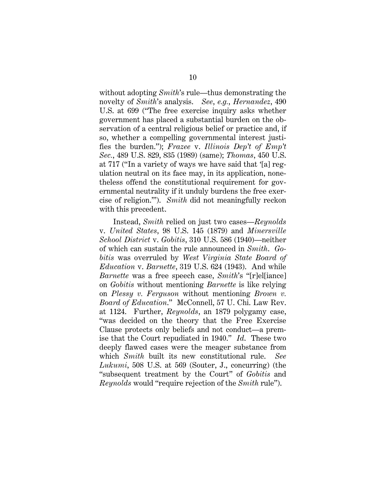without adopting *Smith*'s rule—thus demonstrating the novelty of *Smith*'s analysis. *See*, *e.g.*, *Hernandez*, 490 U.S. at 699 ("The free exercise inquiry asks whether government has placed a substantial burden on the observation of a central religious belief or practice and, if so, whether a compelling governmental interest justifies the burden."); *Frazee* v. *Illinois Dep't of Emp't Sec.*, 489 U.S. 829, 835 (1989) (same); *Thomas*, 450 U.S. at 717 ("In a variety of ways we have said that '[a] regulation neutral on its face may, in its application, nonetheless offend the constitutional requirement for governmental neutrality if it unduly burdens the free exercise of religion.'"). *Smith* did not meaningfully reckon with this precedent.

Instead, *Smith* relied on just two cases—*Reynolds*  v. *United States*, 98 U.S. 145 (1879) and *Minersville School District* v. *Gobitis*, 310 U.S. 586 (1940)—neither of which can sustain the rule announced in *Smith*. *Gobitis* was overruled by *West Virginia State Board of Education* v. *Barnette*, 319 U.S. 624 (1943). And while *Barnette* was a free speech case, *Smith*'s "[r]el[iance] on *Gobitis* without mentioning *Barnette* is like relying on *Plessy v. Ferguson* without mentioning *Brown v. Board of Education*." McConnell, 57 U. Chi. Law Rev. at 1124. Further, *Reynolds*, an 1879 polygamy case, "was decided on the theory that the Free Exercise Clause protects only beliefs and not conduct—a premise that the Court repudiated in 1940." *Id*. These two deeply flawed cases were the meager substance from which *Smith* built its new constitutional rule. *See Lukumi*, 508 U.S. at 569 (Souter, J., concurring) (the "subsequent treatment by the Court" of *Gobitis* and *Reynolds* would "require rejection of the *Smith* rule").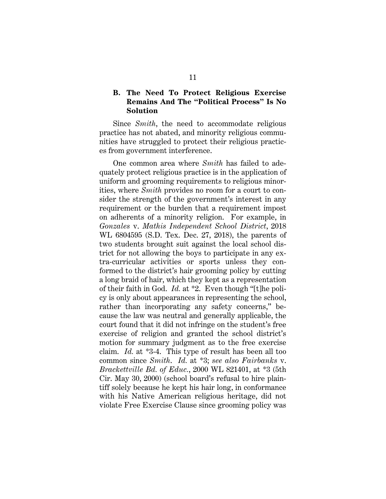#### **B. The Need To Protect Religious Exercise Remains And The "Political Process" Is No Solution**

Since *Smith*, the need to accommodate religious practice has not abated, and minority religious communities have struggled to protect their religious practices from government interference.

One common area where *Smith* has failed to adequately protect religious practice is in the application of uniform and grooming requirements to religious minorities, where *Smith* provides no room for a court to consider the strength of the government's interest in any requirement or the burden that a requirement impost on adherents of a minority religion. For example, in *Gonzales* v. *Mathis Independent School District*, 2018 WL 6804595 (S.D. Tex. Dec. 27, 2018), the parents of two students brought suit against the local school district for not allowing the boys to participate in any extra-curricular activities or sports unless they conformed to the district's hair grooming policy by cutting a long braid of hair, which they kept as a representation of their faith in God. *Id.* at \*2. Even though "[t]he policy is only about appearances in representing the school, rather than incorporating any safety concerns," because the law was neutral and generally applicable, the court found that it did not infringe on the student's free exercise of religion and granted the school district's motion for summary judgment as to the free exercise claim. *Id.* at \*3-4. This type of result has been all too common since *Smith*. *Id.* at \*3; *see also Fairbanks* v. *Brackettville Bd. of Educ.*, 2000 WL 821401, at \*3 (5th Cir. May 30, 2000) (school board's refusal to hire plaintiff solely because he kept his hair long, in conformance with his Native American religious heritage, did not violate Free Exercise Clause since grooming policy was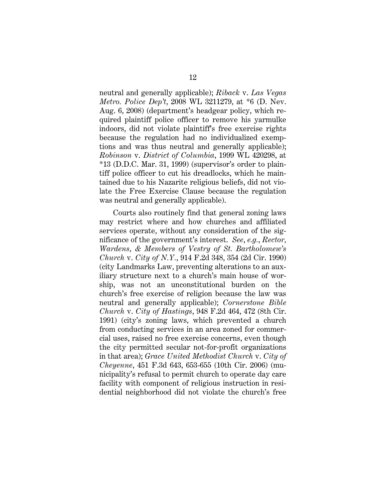neutral and generally applicable); *Riback* v. *Las Vegas Metro. Police Dep't*, 2008 WL 3211279, at \*6 (D. Nev. Aug. 6, 2008) (department's headgear policy, which required plaintiff police officer to remove his yarmulke indoors, did not violate plaintiff's free exercise rights because the regulation had no individualized exemptions and was thus neutral and generally applicable); *Robinson* v. *District of Columbia*, 1999 WL 420298, at \*13 (D.D.C. Mar. 31, 1999) (supervisor's order to plaintiff police officer to cut his dreadlocks, which he maintained due to his Nazarite religious beliefs, did not violate the Free Exercise Clause because the regulation was neutral and generally applicable).

Courts also routinely find that general zoning laws may restrict where and how churches and affiliated services operate, without any consideration of the significance of the government's interest. *See*, *e.g.*, *Rector, Wardens, & Members of Vestry of St. Bartholomew's Church* v. *City of N.Y.*, 914 F.2d 348, 354 (2d Cir. 1990) (city Landmarks Law, preventing alterations to an auxiliary structure next to a church's main house of worship, was not an unconstitutional burden on the church's free exercise of religion because the law was neutral and generally applicable); *Cornerstone Bible Church* v. *City of Hastings*, 948 F.2d 464, 472 (8th Cir. 1991) (city's zoning laws, which prevented a church from conducting services in an area zoned for commercial uses, raised no free exercise concerns, even though the city permitted secular not-for-profit organizations in that area); *Grace United Methodist Church* v. *City of Cheyenne*, 451 F.3d 643, 653-655 (10th Cir. 2006) (municipality's refusal to permit church to operate day care facility with component of religious instruction in residential neighborhood did not violate the church's free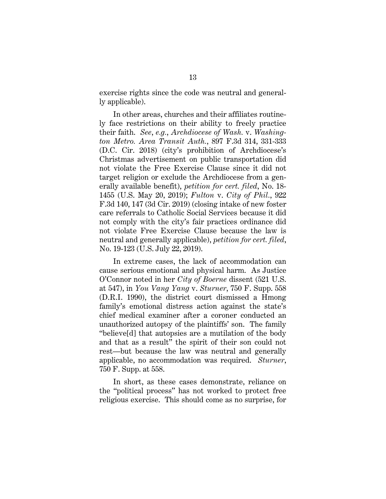exercise rights since the code was neutral and generally applicable).

In other areas, churches and their affiliates routinely face restrictions on their ability to freely practice their faith. *See*, *e.g.*, *Archdiocese of Wash.* v. *Washington Metro. Area Transit Auth.*, 897 F.3d 314, 331-333 (D.C. Cir. 2018) (city's prohibition of Archdiocese's Christmas advertisement on public transportation did not violate the Free Exercise Clause since it did not target religion or exclude the Archdiocese from a generally available benefit), *petition for cert. filed*, No. 18- 1455 (U.S. May 20, 2019); *Fulton* v. *City of Phil.*, 922 F.3d 140, 147 (3d Cir. 2019) (closing intake of new foster care referrals to Catholic Social Services because it did not comply with the city's fair practices ordinance did not violate Free Exercise Clause because the law is neutral and generally applicable), *petition for cert. filed*, No. 19-123 (U.S. July 22, 2019).

In extreme cases, the lack of accommodation can cause serious emotional and physical harm. As Justice O'Connor noted in her *City of Boerne* dissent (521 U.S. at 547), in *You Vang Yang* v. *Sturner*, 750 F. Supp. 558 (D.R.I. 1990), the district court dismissed a Hmong family's emotional distress action against the state's chief medical examiner after a coroner conducted an unauthorized autopsy of the plaintiffs' son. The family "believe[d] that autopsies are a mutilation of the body and that as a result" the spirit of their son could not rest—but because the law was neutral and generally applicable, no accommodation was required. *Sturner*, 750 F. Supp. at 558.

In short, as these cases demonstrate, reliance on the "political process" has not worked to protect free religious exercise. This should come as no surprise, for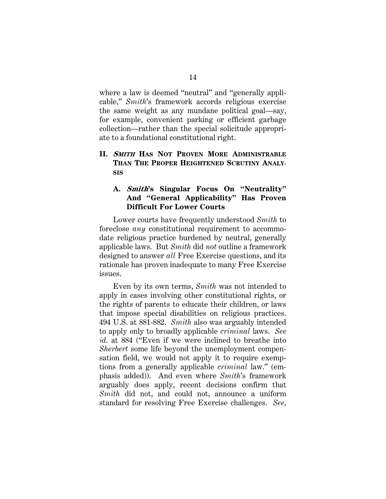where a law is deemed "neutral" and "generally applicable," *Smith*'s framework accords religious exercise the same weight as any mundane political goal—say, for example, convenient parking or efficient garbage collection—rather than the special solicitude appropriate to a foundational constitutional right.

## **II. SMITH HAS NOT PROVEN MORE ADMINISTRABLE THAN THE PROPER HEIGHTENED SCRUTINY ANALY-SIS**

### **A. Smith's Singular Focus On "Neutrality" And "General Applicability" Has Proven Difficult For Lower Courts**

Lower courts have frequently understood *Smith* to foreclose *any* constitutional requirement to accommodate religious practice burdened by neutral, generally applicable laws. But *Smith* did *not* outline a framework designed to answer *all* Free Exercise questions, and its rationale has proven inadequate to many Free Exercise issues.

Even by its own terms, *Smith* was not intended to apply in cases involving other constitutional rights, or the rights of parents to educate their children, or laws that impose special disabilities on religious practices. 494 U.S. at 881-882. *Smith* also was arguably intended to apply only to broadly applicable *criminal* laws. *See id.* at 884 ("Even if we were inclined to breathe into *Sherbert* some life beyond the unemployment compensation field, we would not apply it to require exemptions from a generally applicable *criminal* law." (emphasis added)). And even where *Smith*'s framework arguably does apply, recent decisions confirm that *Smith* did not, and could not, announce a uniform standard for resolving Free Exercise challenges. *See,*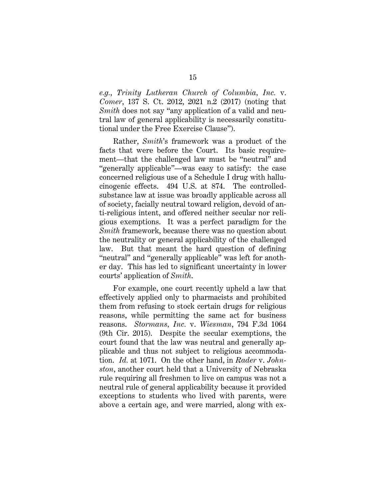*e.g.*, *Trinity Lutheran Church of Columbia, Inc.* v. *Comer*, 137 S. Ct. 2012, 2021 n.2 (2017) (noting that *Smith* does not say "any application of a valid and neutral law of general applicability is necessarily constitutional under the Free Exercise Clause").

Rather, *Smith*'s framework was a product of the facts that were before the Court. Its basic requirement—that the challenged law must be "neutral" and "generally applicable"—was easy to satisfy: the case concerned religious use of a Schedule I drug with hallucinogenic effects. 494 U.S. at 874. The controlledsubstance law at issue was broadly applicable across all of society, facially neutral toward religion, devoid of anti-religious intent, and offered neither secular nor religious exemptions. It was a perfect paradigm for the *Smith* framework, because there was no question about the neutrality or general applicability of the challenged law. But that meant the hard question of defining "neutral" and "generally applicable" was left for another day. This has led to significant uncertainty in lower courts' application of *Smith*.

For example, one court recently upheld a law that effectively applied only to pharmacists and prohibited them from refusing to stock certain drugs for religious reasons, while permitting the same act for business reasons. *Stormans, Inc.* v. *Wiesman*, 794 F.3d 1064 (9th Cir. 2015). Despite the secular exemptions, the court found that the law was neutral and generally applicable and thus not subject to religious accommodation. *Id.* at 1071. On the other hand, in *Rader* v. *Johnston*, another court held that a University of Nebraska rule requiring all freshmen to live on campus was not a neutral rule of general applicability because it provided exceptions to students who lived with parents, were above a certain age, and were married, along with ex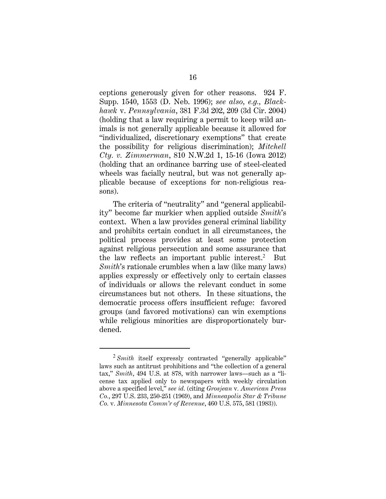ceptions generously given for other reasons. 924 F. Supp. 1540, 1553 (D. Neb. 1996); *see also, e.g., Blackhawk* v. *Pennsylvania*, 381 F.3d 202, 209 (3d Cir. 2004) (holding that a law requiring a permit to keep wild animals is not generally applicable because it allowed for "individualized, discretionary exemptions" that create the possibility for religious discrimination); *Mitchell Cty. v. Zimmerman*, 810 N.W.2d 1, 15-16 (Iowa 2012) (holding that an ordinance barring use of steel-cleated wheels was facially neutral, but was not generally applicable because of exceptions for non-religious reasons).

The criteria of "neutrality" and "general applicability" become far murkier when applied outside *Smith*'s context. When a law provides general criminal liability and prohibits certain conduct in all circumstances, the political process provides at least some protection against religious persecution and some assurance that the law reflects an important public interest.<sup>2</sup> But *Smith*'s rationale crumbles when a law (like many laws) applies expressly or effectively only to certain classes of individuals or allows the relevant conduct in some circumstances but not others. In these situations, the democratic process offers insufficient refuge: favored groups (and favored motivations) can win exemptions while religious minorities are disproportionately burdened.

I

<sup>&</sup>lt;sup>2</sup> *Smith* itself expressly contrasted "generally applicable" laws such as antitrust prohibitions and "the collection of a general tax," *Smith*, 494 U.S. at 878, with narrower laws—such as a "license tax applied only to newspapers with weekly circulation above a specified level," *see id.* (citing *Grosjean* v*. American Press Co.*, 297 U.S. 233, 250-251 (1969), and *Minneapolis Star & Tribune Co.* v*. Minnesota Comm'r of Revenue*, 460 U.S. 575, 581 (1983)).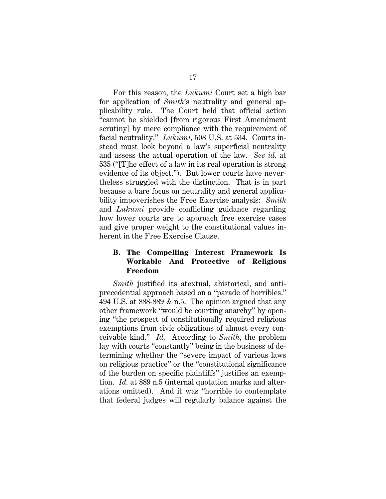For this reason, the *Lukumi* Court set a high bar for application of *Smith*'s neutrality and general applicability rule. The Court held that official action "cannot be shielded [from rigorous First Amendment scrutiny] by mere compliance with the requirement of facial neutrality." *Lukumi*, 508 U.S. at 534. Courts instead must look beyond a law's superficial neutrality and assess the actual operation of the law. *See id.* at 535 ("[T]he effect of a law in its real operation is strong evidence of its object."). But lower courts have nevertheless struggled with the distinction. That is in part because a bare focus on neutrality and general applicability impoverishes the Free Exercise analysis: *Smith* and *Lukumi* provide conflicting guidance regarding how lower courts are to approach free exercise cases and give proper weight to the constitutional values inherent in the Free Exercise Clause.

#### **B. The Compelling Interest Framework Is Workable And Protective of Religious Freedom**

*Smith* justified its atextual, ahistorical, and antiprecedential approach based on a "parade of horribles." 494 U.S. at 888-889  $\&$  n.5. The opinion argued that any other framework "would be courting anarchy" by opening "the prospect of constitutionally required religious exemptions from civic obligations of almost every conceivable kind." *Id.* According to *Smith*, the problem lay with courts "constantly" being in the business of determining whether the "severe impact of various laws on religious practice" or the "constitutional significance of the burden on specific plaintiffs" justifies an exemption. *Id.* at 889 n.5 (internal quotation marks and alterations omitted). And it was "horrible to contemplate that federal judges will regularly balance against the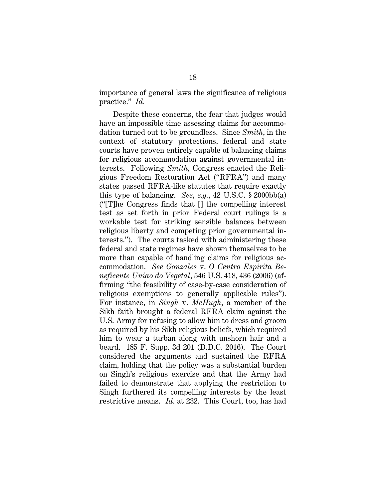importance of general laws the significance of religious practice." *Id.*

Despite these concerns, the fear that judges would have an impossible time assessing claims for accommodation turned out to be groundless. Since *Smith*, in the context of statutory protections, federal and state courts have proven entirely capable of balancing claims for religious accommodation against governmental interests. Following *Smith*, Congress enacted the Religious Freedom Restoration Act ("RFRA") and many states passed RFRA-like statutes that require exactly this type of balancing. *See, e.g.*, 42 U.S.C. § 2000bb(a) ("[T]he Congress finds that [] the compelling interest test as set forth in prior Federal court rulings is a workable test for striking sensible balances between religious liberty and competing prior governmental interests."). The courts tasked with administering these federal and state regimes have shown themselves to be more than capable of handling claims for religious accommodation. *See Gonzales* v. *O Centro Espirita Beneficente Uniao do Vegetal*, 546 U.S. 418, 436 (2006) (affirming "the feasibility of case-by-case consideration of religious exemptions to generally applicable rules"). For instance, in *Singh* v. *McHugh*, a member of the Sikh faith brought a federal RFRA claim against the U.S. Army for refusing to allow him to dress and groom as required by his Sikh religious beliefs, which required him to wear a turban along with unshorn hair and a beard. 185 F. Supp. 3d 201 (D.D.C. 2016). The Court considered the arguments and sustained the RFRA claim, holding that the policy was a substantial burden on Singh's religious exercise and that the Army had failed to demonstrate that applying the restriction to Singh furthered its compelling interests by the least restrictive means. *Id*. at 232. This Court, too, has had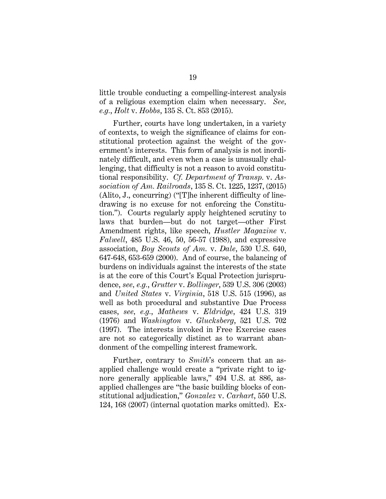little trouble conducting a compelling-interest analysis of a religious exemption claim when necessary. *See, e.g.*, *Holt* v. *Hobbs*, 135 S. Ct. 853 (2015).

Further, courts have long undertaken, in a variety of contexts, to weigh the significance of claims for constitutional protection against the weight of the government's interests. This form of analysis is not inordinately difficult, and even when a case is unusually challenging, that difficulty is not a reason to avoid constitutional responsibility. *Cf. Department of Transp.* v. *Association of Am. Railroads*, 135 S. Ct. 1225, 1237, (2015) (Alito, J., concurring) ("[T]he inherent difficulty of linedrawing is no excuse for not enforcing the Constitution."). Courts regularly apply heightened scrutiny to laws that burden—but do not target—other First Amendment rights, like speech, *Hustler Magazine* v. *Falwell*, 485 U.S. 46, 50, 56-57 (1988), and expressive association, *Boy Scouts of Am.* v. *Dale*, 530 U.S. 640, 647-648, 653-659 (2000). And of course, the balancing of burdens on individuals against the interests of the state is at the core of this Court's Equal Protection jurisprudence, *see, e.g.*, *Grutter* v. *Bollinger*, 539 U.S. 306 (2003) and *United States* v. *Virginia*, 518 U.S. 515 (1996), as well as both procedural and substantive Due Process cases, *see, e.g.*, *Mathews* v. *Eldridge*, 424 U.S. 319 (1976) and *Washington* v. *Glucksberg*, 521 U.S. 702 (1997). The interests invoked in Free Exercise cases are not so categorically distinct as to warrant abandonment of the compelling interest framework.

Further, contrary to *Smith*'s concern that an asapplied challenge would create a "private right to ignore generally applicable laws," 494 U.S. at 886, asapplied challenges are "the basic building blocks of constitutional adjudication," *Gonzalez* v. *Carhart*, 550 U.S. 124, 168 (2007) (internal quotation marks omitted). Ex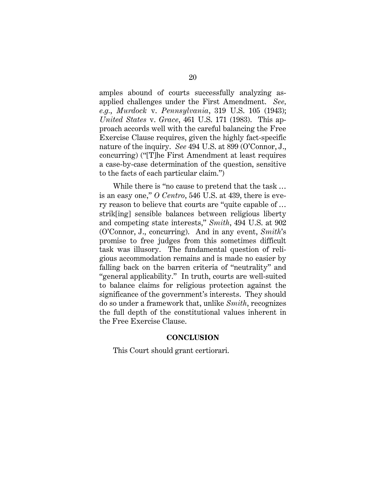amples abound of courts successfully analyzing asapplied challenges under the First Amendment. *See, e.g.*, *Murdock* v. *Pennsylvania*, 319 U.S. 105 (1943); *United States* v. *Grace*, 461 U.S. 171 (1983). This approach accords well with the careful balancing the Free Exercise Clause requires, given the highly fact-specific nature of the inquiry. *See* 494 U.S. at 899 (O'Connor, J., concurring) ("[T]he First Amendment at least requires a case-by-case determination of the question, sensitive to the facts of each particular claim.")

While there is "no cause to pretend that the task … is an easy one," *O Centro*, 546 U.S. at 439, there is every reason to believe that courts are "quite capable of … strik[ing] sensible balances between religious liberty and competing state interests," *Smith*, 494 U.S. at 902 (O'Connor, J., concurring). And in any event, *Smith*'s promise to free judges from this sometimes difficult task was illusory. The fundamental question of religious accommodation remains and is made no easier by falling back on the barren criteria of "neutrality" and "general applicability." In truth, courts are well-suited to balance claims for religious protection against the significance of the government's interests. They should do so under a framework that, unlike *Smith*, recognizes the full depth of the constitutional values inherent in the Free Exercise Clause.

#### **CONCLUSION**

This Court should grant certiorari.